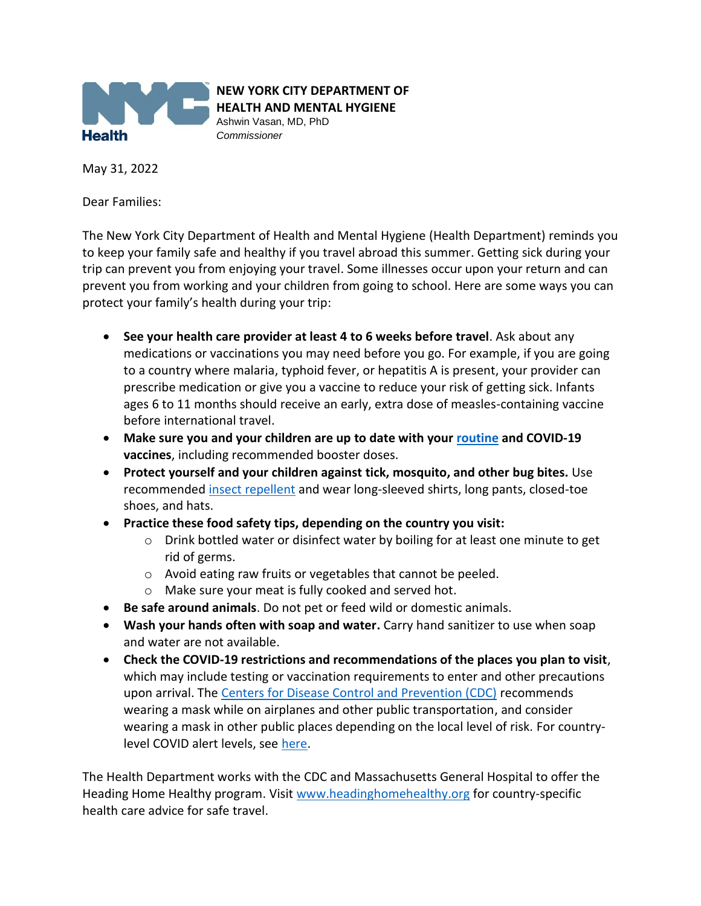

**NEW YORK CITY DEPARTMENT OF HEALTH AND MENTAL HYGIENE**

Ashwin Vasan, MD, PhD *Commissioner*

May 31, 2022

Dear Families:

The New York City Department of Health and Mental Hygiene (Health Department) reminds you to keep your family safe and healthy if you travel abroad this summer. Getting sick during your trip can prevent you from enjoying your travel. Some illnesses occur upon your return and can prevent you from working and your children from going to school. Here are some ways you can protect your family's health during your trip:

- **See your health care provider at least 4 to 6 weeks before travel**. Ask about any medications or vaccinations you may need before you go. For example, if you are going to a country where malaria, typhoid fever, or hepatitis A is present, your provider can prescribe medication or give you a vaccine to reduce your risk of getting sick. Infants ages 6 to 11 months should receive an early, extra dose of measles-containing vaccine before international travel.
- **Make sure you and your children are up to date with you[r routine](http://www.cdc.gov/vaccines/schedules/parents/index.html) and COVID-19 vaccines**, including recommended booster doses.
- **Protect yourself and your children against tick, mosquito, and other bug bites.** Use recommended [insect repellent](https://www1.nyc.gov/site/doh/health/health-topics/insect-repellent-safety.page) and wear long-sleeved shirts, long pants, closed-toe shoes, and hats.
- **Practice these food safety tips, depending on the country you visit:**
	- o Drink bottled water or disinfect water by boiling for at least one minute to get rid of germs.
	- o Avoid eating raw fruits or vegetables that cannot be peeled.
	- o Make sure your meat is fully cooked and served hot.
- **Be safe around animals**. Do not pet or feed wild or domestic animals.
- **Wash your hands often with soap and water.** Carry hand sanitizer to use when soap and water are not available.
- **Check the COVID-19 restrictions and recommendations of the places you plan to visit**, which may include testing or vaccination requirements to enter and other precautions upon arrival. The [Centers for Disease Control and Prevention \(CDC\)](https://www.cdc.gov/coronavirus/2019-ncov/travelers/international-travel/index.html) recommends wearing a mask while on airplanes and other public transportation, and consider wearing a mask in other public places depending on the local level of risk. For countrylevel COVID alert levels, see [here.](https://www.cdc.gov/coronavirus/2019-ncov/travelers/map-and-travel-notices.html)

The Health Department works with the CDC and Massachusetts General Hospital to offer the Heading Home Healthy program. Visit [www.headinghomehealthy.org](http://www.headinghomehealthy.org/) for country-specific health care advice for safe travel.